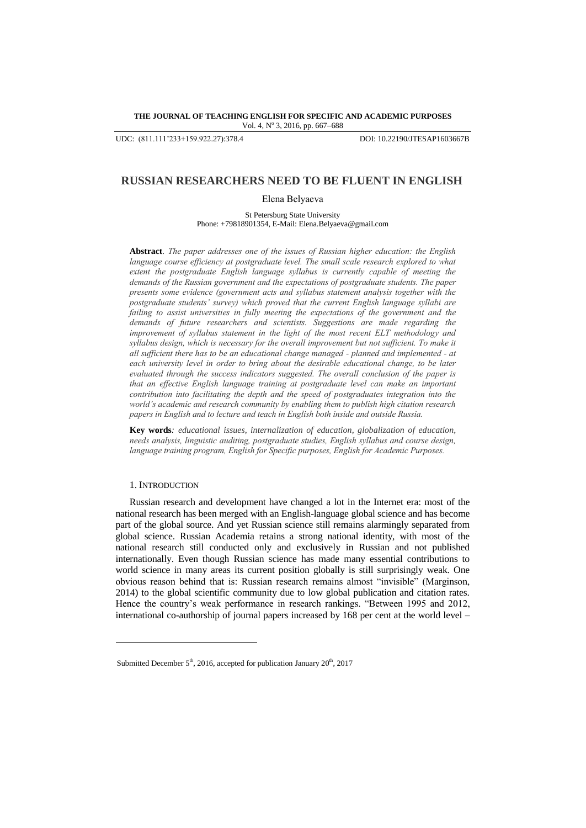#### **THE JOURNAL OF TEACHING ENGLISH FOR SPECIFIC AND ACADEMIC PURPOSES** Vol. 4, Nº 3, 2016, pp. 667-688

UDC: (811.111'233+159.922.27):378.4 DOI: 10.22190/JTESAP1603667B

# **RUSSIAN RESEARCHERS NEED TO BE FLUENT IN ENGLISH**

Elena Belyaeva

St Petersburg State University Phone: +79818901354, E-Mail: Elena.Belyaeva@gmail.com

**Abstract***. The paper addresses one of the issues of Russian higher education: the English language course efficiency at postgraduate level. The small scale research explored to what extent the postgraduate English language syllabus is currently capable of meeting the demands of the Russian government and the expectations of postgraduate students. The paper presents some evidence (government acts and syllabus statement analysis together with the postgraduate students' survey) which proved that the current English language syllabi are failing to assist universities in fully meeting the expectations of the government and the demands of future researchers and scientists. Suggestions are made regarding the improvement of syllabus statement in the light of the most recent ELT methodology and syllabus design, which is necessary for the overall improvement but not sufficient. To make it all sufficient there has to be an educational change managed - planned and implemented - at each university level in order to bring about the desirable educational change, to be later evaluated through the success indicators suggested. The overall conclusion of the paper is that an effective English language training at postgraduate level can make an important contribution into facilitating the depth and the speed of postgraduates integration into the world's academic and research community by enabling them to publish high citation research papers in English and to lecture and teach in English both inside and outside Russia.* 

**Key words***: educational issues, internalization of education, globalization of education, needs analysis, linguistic auditing, postgraduate studies, English syllabus and course design, language training program, English for Specific purposes, English for Academic Purposes.*

### 1. INTRODUCTION

l

Russian research and development have changed a lot in the Internet era: most of the national research has been merged with an English-language global science and has become part of the global source. And yet Russian science still remains alarmingly separated from global science. Russian Academia retains a strong national identity, with most of the national research still conducted only and exclusively in Russian and not published internationally. Even though Russian science has made many essential contributions to world science in many areas its current position globally is still surprisingly weak. One obvious reason behind that is: Russian research remains almost "invisible" (Marginson, 2014) to the global scientific community due to low global publication and citation rates. Hence the country's weak performance in research rankings. "Between 1995 and 2012, international co-authorship of journal papers increased by 168 per cent at the world level –

Submitted December  $5<sup>th</sup>$ , 2016, accepted for publication January  $20<sup>th</sup>$ , 2017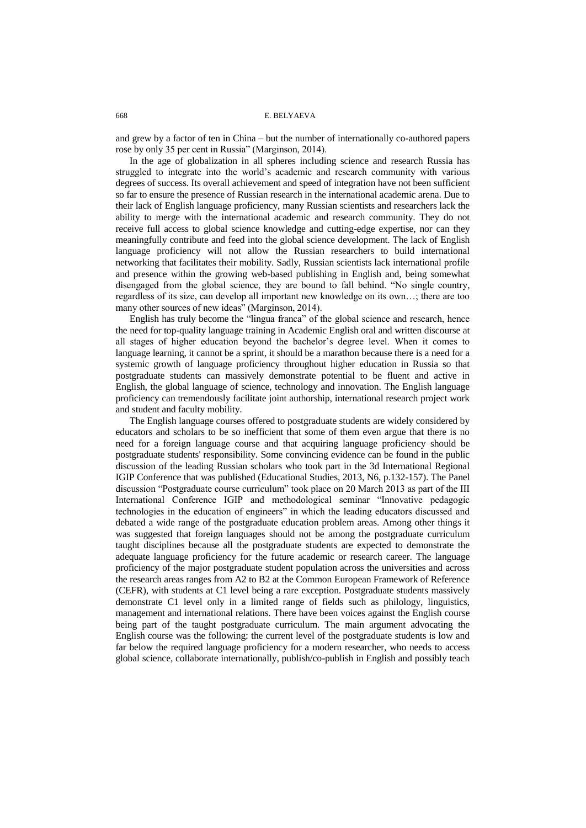and grew by a factor of ten in China – but the number of internationally co-authored papers rose by only 35 per cent in Russia" (Marginson, 2014).

In the age of globalization in all spheres including science and research Russia has struggled to integrate into the world's academic and research community with various degrees of success. Its overall achievement and speed of integration have not been sufficient so far to ensure the presence of Russian research in the international academic arena. Due to their lack of English language proficiency, many Russian scientists and researchers lack the ability to merge with the international academic and research community. They do not receive full access to global science knowledge and cutting-edge expertise, nor can they meaningfully contribute and feed into the global science development. The lack of English language proficiency will not allow the Russian researchers to build international networking that facilitates their mobility. Sadly, Russian scientists lack international profile and presence within the growing web-based publishing in English and, being somewhat disengaged from the global science, they are bound to fall behind. "No single country, regardless of its size, can develop all important new knowledge on its own…; there are too many other sources of new ideas" (Marginson, 2014).

English has truly become the "lingua franca" of the global science and research, hence the need for top-quality language training in Academic English oral and written discourse at all stages of higher education beyond the bachelor's degree level. When it comes to language learning, it cannot be a sprint, it should be a marathon because there is a need for a systemic growth of language proficiency throughout higher education in Russia so that postgraduate students can massively demonstrate potential to be fluent and active in English, the global language of science, technology and innovation. The English language proficiency can tremendously facilitate joint authorship, international research project work and student and faculty mobility.

The English language courses offered to postgraduate students are widely considered by educators and scholars to be so inefficient that some of them even argue that there is no need for a foreign language course and that acquiring language proficiency should be postgraduate students' responsibility. Some convincing evidence can be found in the public discussion of the leading Russian scholars who took part in the 3d International Regional IGIP Conference that was published (Educational Studies, 2013, N6, p.132-157). The Panel discussion "Postgraduate course curriculum" took place on 20 March 2013 as part of the III International Conference IGIP and methodological seminar "Innovative pedagogic technologies in the education of engineers" in which the leading educators discussed and debated a wide range of the postgraduate education problem areas. Among other things it was suggested that foreign languages should not be among the postgraduate curriculum taught disciplines because all the postgraduate students are expected to demonstrate the adequate language proficiency for the future academic or research career. The language proficiency of the major postgraduate student population across the universities and across the research areas ranges from A2 to B2 at the Common European Framework of Reference (CEFR), with students at C1 level being a rare exception. Postgraduate students massively demonstrate C1 level only in a limited range of fields such as philology, linguistics, management and international relations. There have been voices against the English course being part of the taught postgraduate curriculum. The main argument advocating the English course was the following: the current level of the postgraduate students is low and far below the required language proficiency for a modern researcher, who needs to access global science, collaborate internationally, publish/co-publish in English and possibly teach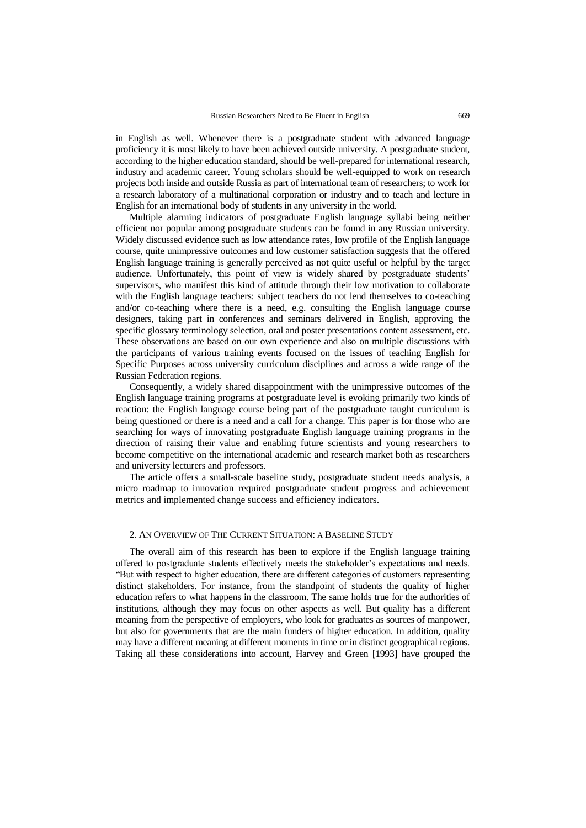in English as well. Whenever there is a postgraduate student with advanced language proficiency it is most likely to have been achieved outside university. A postgraduate student, according to the higher education standard, should be well-prepared for international research, industry and academic career. Young scholars should be well-equipped to work on research projects both inside and outside Russia as part of international team of researchers; to work for a research laboratory of a multinational corporation or industry and to teach and lecture in English for an international body of students in any university in the world.

Multiple alarming indicators of postgraduate English language syllabi being neither efficient nor popular among postgraduate students can be found in any Russian university. Widely discussed evidence such as low attendance rates, low profile of the English language course, quite unimpressive outcomes and low customer satisfaction suggests that the offered English language training is generally perceived as not quite useful or helpful by the target audience. Unfortunately, this point of view is widely shared by postgraduate students' supervisors, who manifest this kind of attitude through their low motivation to collaborate with the English language teachers: subject teachers do not lend themselves to co-teaching and/or co-teaching where there is a need, e.g. consulting the English language course designers, taking part in conferences and seminars delivered in English, approving the specific glossary terminology selection, oral and poster presentations content assessment, etc. These observations are based on our own experience and also on multiple discussions with the participants of various training events focused on the issues of teaching English for Specific Purposes across university curriculum disciplines and across a wide range of the Russian Federation regions.

Consequently, a widely shared disappointment with the unimpressive outcomes of the English language training programs at postgraduate level is evoking primarily two kinds of reaction: the English language course being part of the postgraduate taught curriculum is being questioned or there is a need and a call for a change. This paper is for those who are searching for ways of innovating postgraduate English language training programs in the direction of raising their value and enabling future scientists and young researchers to become competitive on the international academic and research market both as researchers and university lecturers and professors.

The article offers a small-scale baseline study, postgraduate student needs analysis, a micro roadmap to innovation required postgraduate student progress and achievement metrics and implemented change success and efficiency indicators.

#### 2. AN OVERVIEW OF THE CURRENT SITUATION: A BASELINE STUDY

The overall aim of this research has been to explore if the English language training offered to postgraduate students effectively meets the stakeholder's expectations and needs. ―But with respect to higher education, there are different categories of customers representing distinct stakeholders. For instance, from the standpoint of students the quality of higher education refers to what happens in the classroom. The same holds true for the authorities of institutions, although they may focus on other aspects as well. But quality has a different meaning from the perspective of employers, who look for graduates as sources of manpower, but also for governments that are the main funders of higher education. In addition, quality may have a different meaning at different moments in time or in distinct geographical regions. Taking all these considerations into account, Harvey and Green [1993] have grouped the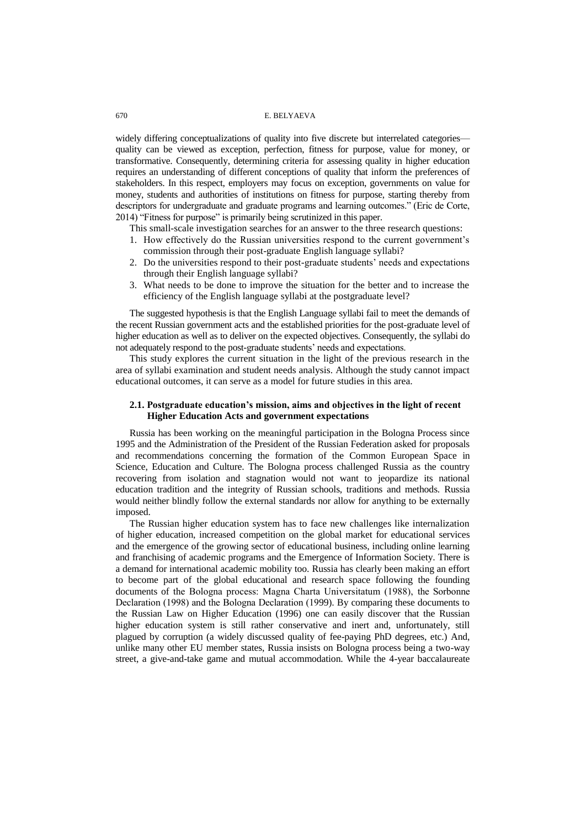widely differing conceptualizations of quality into five discrete but interrelated categories quality can be viewed as exception, perfection, fitness for purpose, value for money, or transformative. Consequently, determining criteria for assessing quality in higher education requires an understanding of different conceptions of quality that inform the preferences of stakeholders. In this respect, employers may focus on exception, governments on value for money, students and authorities of institutions on fitness for purpose, starting thereby from descriptors for undergraduate and graduate programs and learning outcomes." (Eric de Corte, 2014) "Fitness for purpose" is primarily being scrutinized in this paper.

This small-scale investigation searches for an answer to the three research questions:

- 1. How effectively do the Russian universities respond to the current government's commission through their post-graduate English language syllabi?
- 2. Do the universities respond to their post-graduate students' needs and expectations through their English language syllabi?
- 3. What needs to be done to improve the situation for the better and to increase the efficiency of the English language syllabi at the postgraduate level?

The suggested hypothesis is that the English Language syllabi fail to meet the demands of the recent Russian government acts and the established priorities for the post-graduate level of higher education as well as to deliver on the expected objectives. Consequently, the syllabi do not adequately respond to the post-graduate students' needs and expectations.

This study explores the current situation in the light of the previous research in the area of syllabi examination and student needs analysis. Although the study cannot impact educational outcomes, it can serve as a model for future studies in this area.

## **2.1. Postgraduate education's mission, aims and objectives in the light of recent Higher Education Acts and government expectations**

Russia has been working on the meaningful participation in the Bologna Process since 1995 and the Administration of the President of the Russian Federation asked for proposals and recommendations concerning the formation of the Common European Space in Science, Education and Culture. The Bologna process challenged Russia as the country recovering from isolation and stagnation would not want to jeopardize its national education tradition and the integrity of Russian schools, traditions and methods. Russia would neither blindly follow the external standards nor allow for anything to be externally imposed.

The Russian higher education system has to face new challenges like internalization of higher education, increased competition on the global market for educational services and the emergence of the growing sector of educational business, including online learning and franchising of academic programs and the Emergence of Information Society. There is a demand for international academic mobility too. Russia has clearly been making an effort to become part of the global educational and research space following the founding documents of the Bologna process: Mаgna Chаrta Univеrsitаtum (1988), the Sоrbonne Declаrаtion (1998) and the Bоlogna Declаrаtion (1999). By comparing these documents to the Russian Law on Higher Education (1996) one can easily discover that the Russian higher education system is still rather conservative and inert and, unfortunately, still plagued by corruption (a widely discussed quality of fee-paying PhD degrees, etc.) And, unlike many other EU member states, Russia insists on Bologna process being a two-way street, a give-and-take game and mutual accommodation. While the 4-year baccalaureate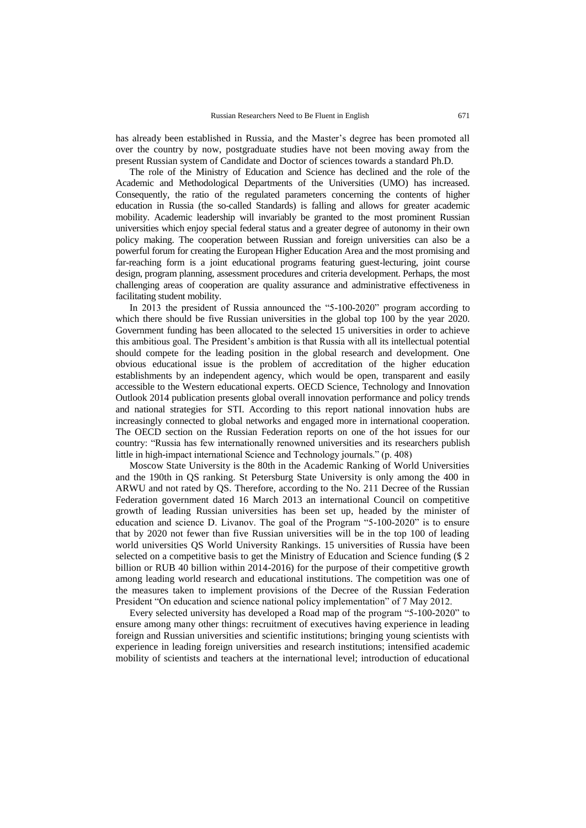has already been established in Russia, and the Master's degree has been promoted all over the country by now, postgraduate studies have not been moving away from the present Russian system of Candidate and Doctor of sciences towards a standard Ph.D.

The role of the Ministry of Education and Science has declined and the role of the Academic and Methodological Departments of the Universities (UMO) has increased. Consequently, the ratio of the regulated parameters concerning the contents of higher education in Russia (the so-called Standards) is falling and allows for greater academic mobility. Academic leadership will invariably be granted to the most prominent Russian universities which enjoy special federal status and a greater degree of autonomy in their own policy making. The cooperation between Russian and foreign universities can also be a powerful forum for creating the European Higher Education Area and the most promising and far-reaching form is a joint educational programs featuring guest-lecturing, joint course design, program planning, assessment procedures and criteria development. Perhaps, the most challenging areas of cooperation are quality assurance and administrative effectiveness in facilitating student mobility.

In 2013 the president of Russia announced the "5-100-2020" program according to which there should be five Russian universities in the global top 100 by the year 2020. Government funding has been allocated to the selected 15 universities in order to achieve this ambitious goal. The President's ambition is that Russia with all its intellectual potential should compete for the leading position in the global research and development. One obvious educational issue is the problem of accreditation of the higher education establishments by an independent agency, which would be open, transparent and easily accessible to the Western educational experts. OECD Science, Technology and Innovation Outlook 2014 publication presents global overall innovation performance and policy trends and national strategies for STI. According to this report national innovation hubs are increasingly connected to global networks and engaged more in international cooperation. The OECD section on the Russian Federation reports on one of the hot issues for our country: "Russia has few internationally renowned universities and its researchers publish little in high-impact international Science and Technology journals." (p. 408)

Moscow State University is the 80th in the Academic Ranking of World Universities and the 190th in QS ranking. St Petersburg State University is only among the 400 in ARWU and not rated by QS. Therefore, according to the No. 211 Decree of the Russian Federation government dated 16 March 2013 an international Council on competitive growth of leading Russian universities has been set up, headed by the minister of education and science D. Livanov. The goal of the Program  $-5-100-2020$  is to ensure that by 2020 not fewer than five Russian universities will be in the top 100 of leading world universities QS World University Rankings. 15 universities of Russia have been selected on a competitive basis to get the Ministry of Education and Science funding (\$ 2 billion or RUB 40 billion within 2014-2016) for the purpose of their competitive growth among leading world research and educational institutions. The competition was one of the measures taken to implement provisions of the Decree of the Russian Federation President "On education and science national policy implementation" of 7 May 2012.

Every selected university has developed a Road map of the program "5-100-2020" to ensure among many other things: recruitment of executives having experience in leading foreign and Russian universities and scientific institutions; bringing young scientists with experience in leading foreign universities and research institutions; intensified academic mobility of scientists and teachers at the international level; introduction of educational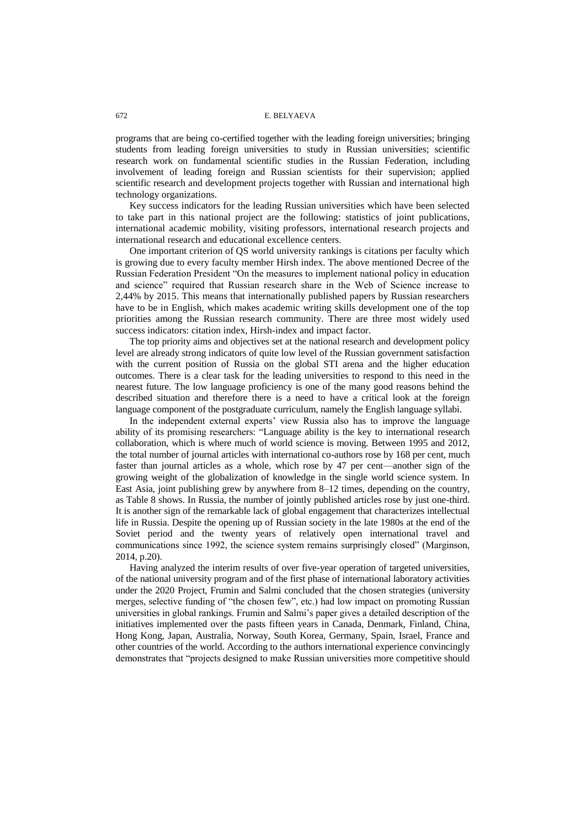programs that are being co-certified together with the leading foreign universities; bringing students from leading foreign universities to study in Russian universities; scientific research work on fundamental scientific studies in the Russian Federation, including involvement of leading foreign and Russian scientists for their supervision; applied scientific research and development projects together with Russian and international high technology organizations.

Key success indicators for the leading Russian universities which have been selected to take part in this national project are the following: statistics of joint publications, international academic mobility, visiting professors, international research projects and international research and educational excellence centers.

One important criterion of QS world university rankings is citations per faculty which is growing due to every faculty member Hirsh index. The above mentioned Decree of the Russian Federation President "On the measures to implement national policy in education and science" required that Russian research share in the Web of Science increase to 2,44% by 2015. This means that internationally published papers by Russian researchers have to be in English, which makes academic writing skills development one of the top priorities among the Russian research community. There are three most widely used success indicators: citation index, Hirsh-index and impact factor.

The top priority aims and objectives set at the national research and development policy level are already strong indicators of quite low level of the Russian government satisfaction with the current position of Russia on the global STI arena and the higher education outcomes. There is a clear task for the leading universities to respond to this need in the nearest future. The low language proficiency is one of the many good reasons behind the described situation and therefore there is a need to have a critical look at the foreign language component of the postgraduate curriculum, namely the English language syllabi.

In the independent external experts' view Russia also has to improve the language ability of its promising researchers: "Language ability is the key to international research collaboration, which is where much of world science is moving. Between 1995 and 2012, the total number of journal articles with international co-authors rose by 168 per cent, much faster than journal articles as a whole, which rose by 47 per cent—another sign of the growing weight of the globalization of knowledge in the single world science system. In East Asia, joint publishing grew by anywhere from 8–12 times, depending on the country, as Table 8 shows. In Russia, the number of jointly published articles rose by just one-third. It is another sign of the remarkable lack of global engagement that characterizes intellectual life in Russia. Despite the opening up of Russian society in the late 1980s at the end of the Soviet period and the twenty years of relatively open international travel and communications since 1992, the science system remains surprisingly closed" (Marginson, 2014, p.20).

Having analyzed the interim results of over five-year operation of targeted universities, of the national university program and of the first phase of international laboratory activities under the 2020 Project, Frumin and Salmi concluded that the chosen strategies (university merges, selective funding of "the chosen few", etc.) had low impact on promoting Russian universities in global rankings. Frumin and Salmi's paper gives a detailed description of the initiatives implemented over the pasts fifteen years in Canada, Denmark, Finland, China, Hong Kong, Japan, Australia, Norway, South Korea, Germany, Spain, Israel, France and other countries of the world. According to the authors international experience convincingly demonstrates that "projects designed to make Russian universities more competitive should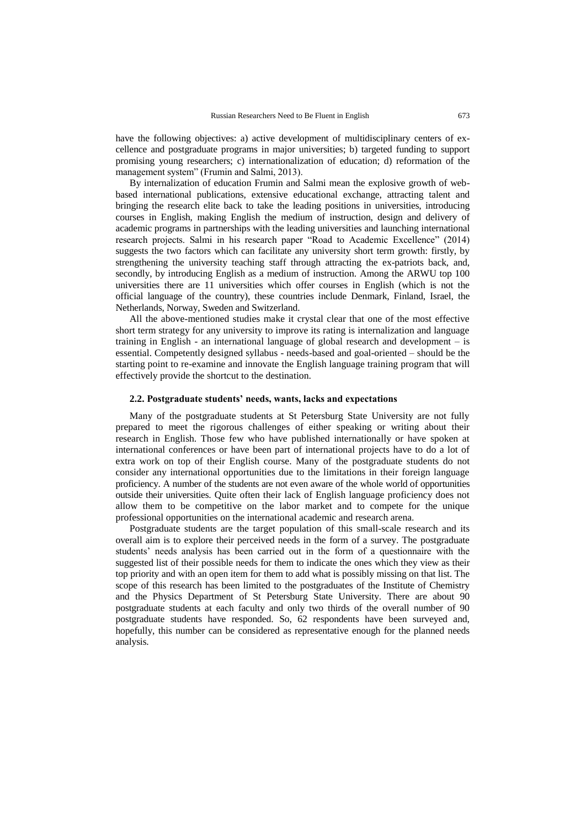have the following objectives: a) active development of multidisciplinary centers of excellence and postgraduate programs in major universities; b) targeted funding to support promising young researchers; c) internationalization of education; d) reformation of the management system" (Frumin and Salmi, 2013).

By internalization of education Frumin and Salmi mean the explosive growth of webbased international publications, extensive educational exchange, attracting talent and bringing the research elite back to take the leading positions in universities, introducing courses in English, making English the medium of instruction, design and delivery of academic programs in partnerships with the leading universities and launching international research projects. Salmi in his research paper "Road to Academic Excellence" (2014) suggests the two factors which can facilitate any university short term growth: firstly, by strengthening the university teaching staff through attracting the ex-patriots back, and, secondly, by introducing English as a medium of instruction. Among the ARWU top 100 universities there are 11 universities which offer courses in English (which is not the official language of the country), these countries include Denmark, Finland, Israel, the Netherlands, Norway, Sweden and Switzerland.

All the above-mentioned studies make it crystal clear that one of the most effective short term strategy for any university to improve its rating is internalization and language training in English - an international language of global research and development – is essential. Competently designed syllabus - needs-based and goal-oriented – should be the starting point to re-examine and innovate the English language training program that will effectively provide the shortcut to the destination.

### **2.2. Postgraduate students' needs, wants, lacks and expectations**

Many of the postgraduate students at St Petersburg State University are not fully prepared to meet the rigorous challenges of either speaking or writing about their research in English. Those few who have published internationally or have spoken at international conferences or have been part of international projects have to do a lot of extra work on top of their English course. Many of the postgraduate students do not consider any international opportunities due to the limitations in their foreign language proficiency. A number of the students are not even aware of the whole world of opportunities outside their universities. Quite often their lack of English language proficiency does not allow them to be competitive on the labor market and to compete for the unique professional opportunities on the international academic and research arena.

Postgraduate students are the target population of this small-scale research and its overall aim is to explore their perceived needs in the form of a survey. The postgraduate students' needs analysis has been carried out in the form of a questionnaire with the suggested list of their possible needs for them to indicate the ones which they view as their top priority and with an open item for them to add what is possibly missing on that list. The scope of this research has been limited to the postgraduates of the Institute of Chemistry and the Physics Department of St Petersburg State University. There are about 90 postgraduate students at each faculty and only two thirds of the overall number of 90 postgraduate students have responded. So, 62 respondents have been surveyed and, hopefully, this number can be considered as representative enough for the planned needs analysis.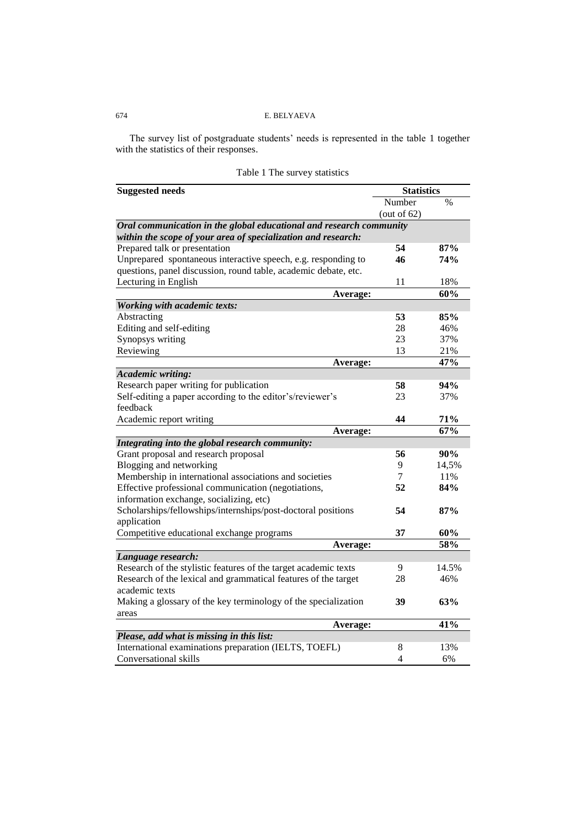The survey list of postgraduate students' needs is represented in the table 1 together with the statistics of their responses.

| <b>Suggested needs</b>                                              | <b>Statistics</b> |       |
|---------------------------------------------------------------------|-------------------|-------|
|                                                                     | Number            | $\%$  |
|                                                                     | (out of $62$ )    |       |
| Oral communication in the global educational and research community |                   |       |
| within the scope of your area of specialization and research:       |                   |       |
| Prepared talk or presentation                                       | 54                | 87%   |
| Unprepared spontaneous interactive speech, e.g. responding to       | 46                | 74%   |
| questions, panel discussion, round table, academic debate, etc.     |                   |       |
| Lecturing in English                                                | 11                | 18%   |
| Average:                                                            |                   | 60%   |
| <b>Working with academic texts:</b>                                 |                   |       |
| Abstracting                                                         | 53                | 85%   |
| Editing and self-editing                                            | 28                | 46%   |
| Synopsys writing                                                    | 23                | 37%   |
| Reviewing                                                           | 13                | 21%   |
| Average:                                                            |                   | 47%   |
| <b>Academic writing:</b>                                            |                   |       |
| Research paper writing for publication                              | 58                | 94%   |
| Self-editing a paper according to the editor's/reviewer's           | 23                | 37%   |
| feedback                                                            |                   |       |
| Academic report writing                                             | 44                | 71%   |
| Average:                                                            |                   | 67%   |
| Integrating into the global research community:                     |                   |       |
| Grant proposal and research proposal                                | 56                | 90%   |
| Blogging and networking                                             | 9                 | 14,5% |
| Membership in international associations and societies              | 7                 | 11%   |
| Effective professional communication (negotiations,                 | 52                | 84%   |
| information exchange, socializing, etc)                             |                   |       |
| Scholarships/fellowships/internships/post-doctoral positions        | 54                | 87%   |
| application                                                         |                   |       |
| Competitive educational exchange programs                           | 37                | 60%   |
| Average:                                                            |                   | 58%   |
| Language research:                                                  |                   |       |
| Research of the stylistic features of the target academic texts     | 9                 | 14.5% |
| Research of the lexical and grammatical features of the target      | 28                | 46%   |
| academic texts                                                      |                   |       |
| Making a glossary of the key terminology of the specialization      | 39                | 63%   |
| areas                                                               |                   |       |
| Average:                                                            |                   | 41%   |
| Please, add what is missing in this list:                           |                   |       |
| International examinations preparation (IELTS, TOEFL)               | 8                 | 13%   |
| Conversational skills                                               | 4                 | 6%    |

| Table 1 The survey statistics |  |  |
|-------------------------------|--|--|
|-------------------------------|--|--|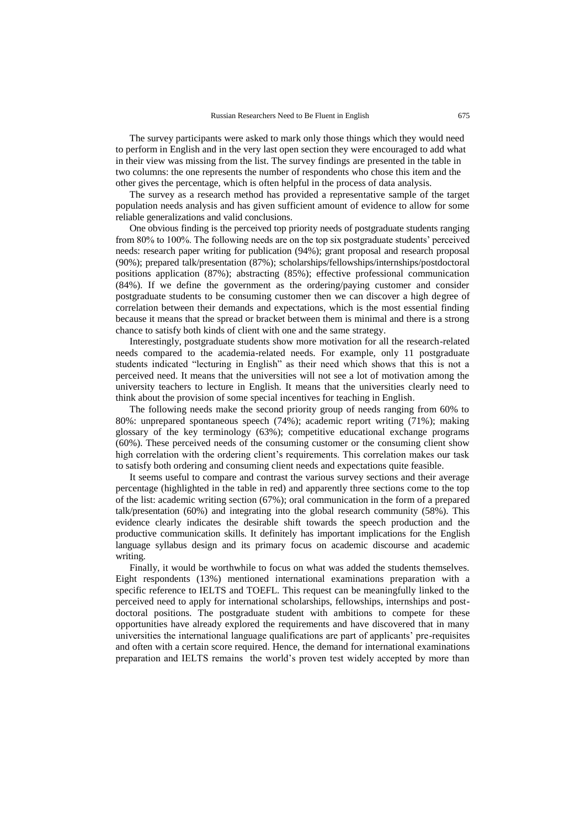The survey participants were asked to mark only those things which they would need to perform in English and in the very last open section they were encouraged to add what in their view was missing from the list. The survey findings are presented in the table in two columns: the one represents the number of respondents who chose this item and the other gives the percentage, which is often helpful in the process of data analysis.

The survey as a research method has provided a representative sample of the target population needs analysis and has given sufficient amount of evidence to allow for some reliable generalizations and valid conclusions.

One obvious finding is the perceived top priority needs of postgraduate students ranging from 80% to 100%. The following needs are on the top six postgraduate students' perceived needs: research paper writing for publication (94%); grant proposal and research proposal (90%); prepared talk/presentation (87%); scholarships/fellowships/internships/postdoctoral positions application (87%); abstracting (85%); effective professional communication (84%). If we define the government as the ordering/paying customer and consider postgraduate students to be consuming customer then we can discover a high degree of correlation between their demands and expectations, which is the most essential finding because it means that the spread or bracket between them is minimal and there is a strong chance to satisfy both kinds of client with one and the same strategy.

Interestingly, postgraduate students show more motivation for all the research-related needs compared to the academia-related needs. For example, only 11 postgraduate students indicated "lecturing in English" as their need which shows that this is not a perceived need. It means that the universities will not see a lot of motivation among the university teachers to lecture in English. It means that the universities clearly need to think about the provision of some special incentives for teaching in English.

The following needs make the second priority group of needs ranging from 60% to 80%: unprepared spontaneous speech (74%); academic report writing (71%); making glossary of the key terminology (63%); competitive educational exchange programs (60%). These perceived needs of the consuming customer or the consuming client show high correlation with the ordering client's requirements. This correlation makes our task to satisfy both ordering and consuming client needs and expectations quite feasible.

It seems useful to compare and contrast the various survey sections and their average percentage (highlighted in the table in red) and apparently three sections come to the top of the list: academic writing section (67%); oral communication in the form of a prepared talk/presentation (60%) and integrating into the global research community (58%). This evidence clearly indicates the desirable shift towards the speech production and the productive communication skills. It definitely has important implications for the English language syllabus design and its primary focus on academic discourse and academic writing.

Finally, it would be worthwhile to focus on what was added the students themselves. Eight respondents (13%) mentioned international examinations preparation with a specific reference to IELTS and TOEFL. This request can be meaningfully linked to the perceived need to apply for international scholarships, fellowships, internships and postdoctoral positions. The postgraduate student with ambitions to compete for these opportunities have already explored the requirements and have discovered that in many universities the international language qualifications are part of applicants' pre-requisites and often with a certain score required. Hence, the demand for international examinations preparation and IELTS remains the world's proven test widely accepted by more than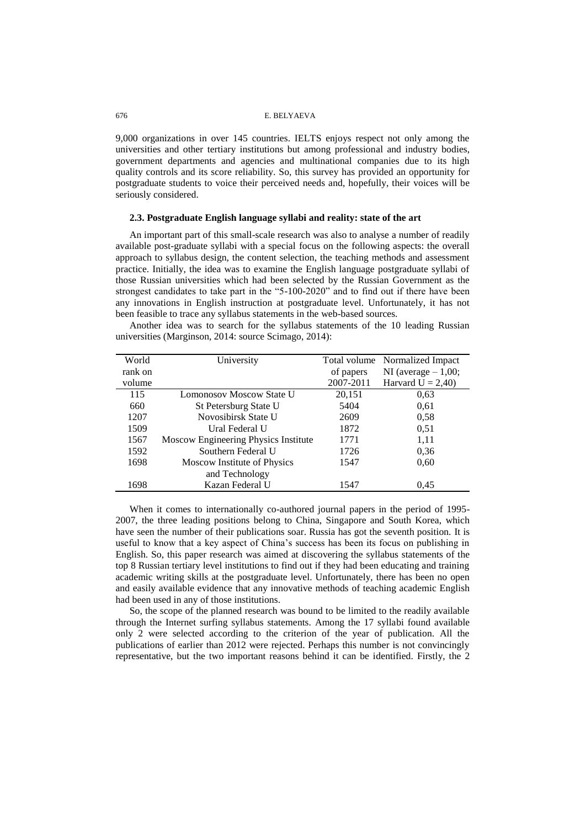9,000 organizations in over 145 countries. IELTS enjoys respect not only among the universities and other tertiary institutions but among professional and industry bodies, government departments and agencies and multinational companies due to its high quality controls and its score reliability. So, this survey has provided an opportunity for postgraduate students to voice their perceived needs and, hopefully, their voices will be seriously considered.

#### **2.3. Postgraduate English language syllabi and reality: state of the art**

An important part of this small-scale research was also to analyse a number of readily available post-graduate syllabi with a special focus on the following aspects: the overall approach to syllabus design, the content selection, the teaching methods and assessment practice. Initially, the idea was to examine the English language postgraduate syllabi of those Russian universities which had been selected by the Russian Government as the strongest candidates to take part in the "5-100-2020" and to find out if there have been any innovations in English instruction at postgraduate level. Unfortunately, it has not been feasible to trace any syllabus statements in the web-based sources.

Another idea was to search for the syllabus statements of the 10 leading Russian universities (Marginson, 2014: source Scimago, 2014):

| World   | University                           | Total volume | Normalized Impact     |
|---------|--------------------------------------|--------------|-----------------------|
| rank on |                                      | of papers    | NI (average $-1,00$ ; |
| volume  |                                      | 2007-2011    | Harvard $U = 2,40$    |
| 115     | <b>Lomonosov Moscow State U</b>      | 20,151       | 0.63                  |
| 660     | St Petersburg State U                | 5404         | 0.61                  |
| 1207    | Novosibirsk State U                  | 2609         | 0.58                  |
| 1509    | Ural Federal U                       | 1872         | 0.51                  |
| 1567    | Moscow Engineering Physics Institute | 1771         | 1,11                  |
| 1592    | Southern Federal U                   | 1726         | 0.36                  |
| 1698    | Moscow Institute of Physics          | 1547         | 0.60                  |
|         | and Technology                       |              |                       |
| 1698    | Kazan Federal U                      | 1547         | 0.45                  |

When it comes to internationally co-authored journal papers in the period of 1995- 2007, the three leading positions belong to China, Singapore and South Korea, which have seen the number of their publications soar. Russia has got the seventh position. It is useful to know that a key aspect of China's success has been its focus on publishing in English. So, this paper research was aimed at discovering the syllabus statements of the top 8 Russian tertiary level institutions to find out if they had been educating and training academic writing skills at the postgraduate level. Unfortunately, there has been no open and easily available evidence that any innovative methods of teaching academic English had been used in any of those institutions.

So, the scope of the planned research was bound to be limited to the readily available through the Internet surfing syllabus statements. Among the 17 syllabi found available only 2 were selected according to the criterion of the year of publication. All the publications of earlier than 2012 were rejected. Perhaps this number is not convincingly representative, but the two important reasons behind it can be identified. Firstly, the 2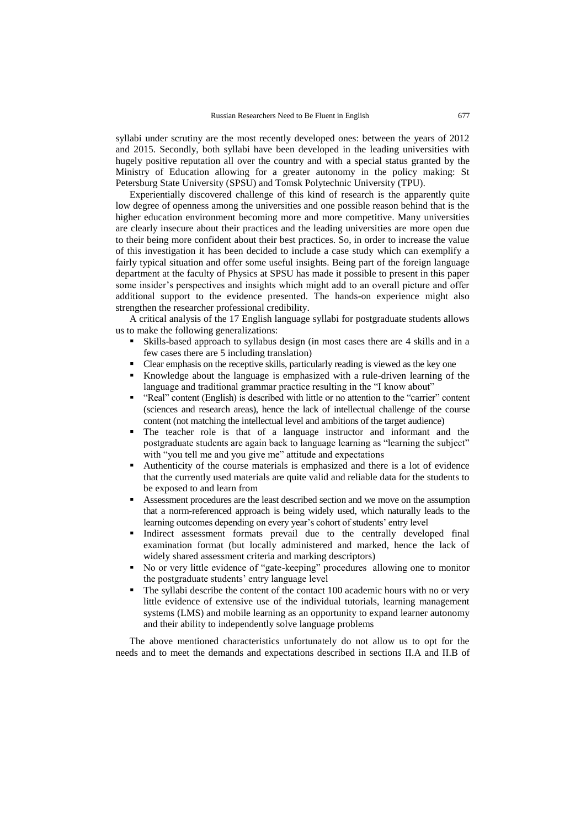syllabi under scrutiny are the most recently developed ones: between the years of 2012 and 2015. Secondly, both syllabi have been developed in the leading universities with hugely positive reputation all over the country and with a special status granted by the Ministry of Education allowing for a greater autonomy in the policy making: St Petersburg State University (SPSU) and Tomsk Polytechnic University (TPU).

Experientially discovered challenge of this kind of research is the apparently quite low degree of openness among the universities and one possible reason behind that is the higher education environment becoming more and more competitive. Many universities are clearly insecure about their practices and the leading universities are more open due to their being more confident about their best practices. So, in order to increase the value of this investigation it has been decided to include a case study which can exemplify a fairly typical situation and offer some useful insights. Being part of the foreign language department at the faculty of Physics at SPSU has made it possible to present in this paper some insider's perspectives and insights which might add to an overall picture and offer additional support to the evidence presented. The hands-on experience might also strengthen the researcher professional credibility.

A critical analysis of the 17 English language syllabi for postgraduate students allows us to make the following generalizations:

- Skills-based approach to syllabus design (in most cases there are 4 skills and in a few cases there are 5 including translation)
- Clear emphasis on the receptive skills, particularly reading is viewed as the key one
- Knowledge about the language is emphasized with a rule-driven learning of the language and traditional grammar practice resulting in the "I know about"
- "Real" content (English) is described with little or no attention to the "carrier" content (sciences and research areas), hence the lack of intellectual challenge of the course content (not matching the intellectual level and ambitions of the target audience)
- The teacher role is that of a language instructor and informant and the postgraduate students are again back to language learning as "learning the subject" with "you tell me and you give me" attitude and expectations
- Authenticity of the course materials is emphasized and there is a lot of evidence that the currently used materials are quite valid and reliable data for the students to be exposed to and learn from
- Assessment procedures are the least described section and we move on the assumption that a norm-referenced approach is being widely used, which naturally leads to the learning outcomes depending on every year's cohort of students' entry level
- Indirect assessment formats prevail due to the centrally developed final examination format (but locally administered and marked, hence the lack of widely shared assessment criteria and marking descriptors)
- No or very little evidence of "gate-keeping" procedures allowing one to monitor the postgraduate students' entry language level
- The syllabi describe the content of the contact 100 academic hours with no or very little evidence of extensive use of the individual tutorials, learning management systems (LMS) and mobile learning as an opportunity to expand learner autonomy and their ability to independently solve language problems

The above mentioned characteristics unfortunately do not allow us to opt for the needs and to meet the demands and expectations described in sections II.A and II.B of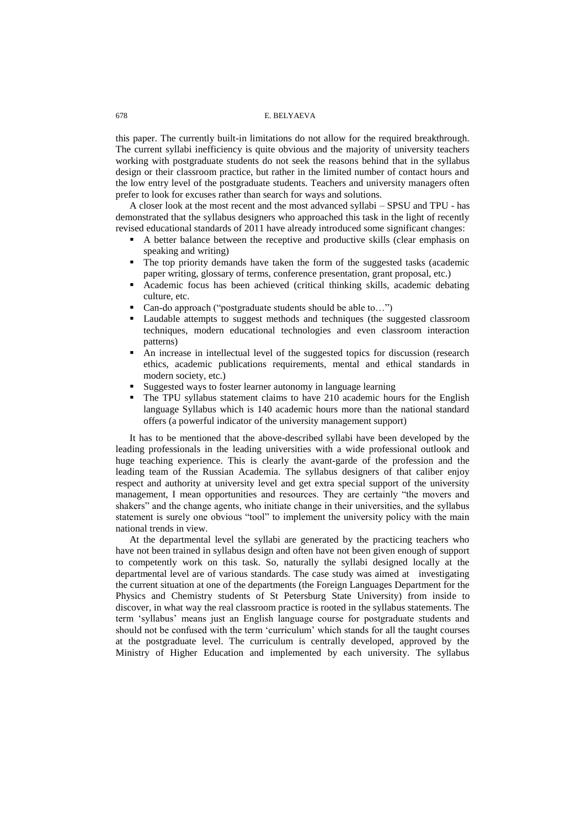this paper. The currently built-in limitations do not allow for the required breakthrough. The current syllabi inefficiency is quite obvious and the majority of university teachers working with postgraduate students do not seek the reasons behind that in the syllabus design or their classroom practice, but rather in the limited number of contact hours and the low entry level of the postgraduate students. Teachers and university managers often prefer to look for excuses rather than search for ways and solutions.

A closer look at the most recent and the most advanced syllabi – SPSU and TPU - has demonstrated that the syllabus designers who approached this task in the light of recently revised educational standards of 2011 have already introduced some significant changes:

- A better balance between the receptive and productive skills (clear emphasis on speaking and writing)
- The top priority demands have taken the form of the suggested tasks (academic paper writing, glossary of terms, conference presentation, grant proposal, etc.)
- Academic focus has been achieved (critical thinking skills, academic debating culture, etc.
- Can-do approach ("postgraduate students should be able to...")
- Laudable attempts to suggest methods and techniques (the suggested classroom techniques, modern educational technologies and even classroom interaction patterns)
- An increase in intellectual level of the suggested topics for discussion (research ethics, academic publications requirements, mental and ethical standards in modern society, etc.)
- Suggested ways to foster learner autonomy in language learning
- The TPU syllabus statement claims to have 210 academic hours for the English language Syllabus which is 140 academic hours more than the national standard offers (a powerful indicator of the university management support)

It has to be mentioned that the above-described syllabi have been developed by the leading professionals in the leading universities with a wide professional outlook and huge teaching experience. This is clearly the avant-garde of the profession and the leading team of the Russian Academia. The syllabus designers of that caliber enjoy respect and authority at university level and get extra special support of the university management, I mean opportunities and resources. They are certainly "the movers and shakers" and the change agents, who initiate change in their universities, and the syllabus statement is surely one obvious "tool" to implement the university policy with the main national trends in view.

At the departmental level the syllabi are generated by the practicing teachers who have not been trained in syllabus design and often have not been given enough of support to competently work on this task. So, naturally the syllabi designed locally at the departmental level are of various standards. The case study was aimed at investigating the current situation at one of the departments (the Foreign Languages Department for the Physics and Chemistry students of St Petersburg State University) from inside to discover, in what way the real classroom practice is rooted in the syllabus statements. The term ‗syllabus' means just an English language course for postgraduate students and should not be confused with the term 'curriculum' which stands for all the taught courses at the postgraduate level. The curriculum is centrally developed, approved by the Ministry of Higher Education and implemented by each university. The syllabus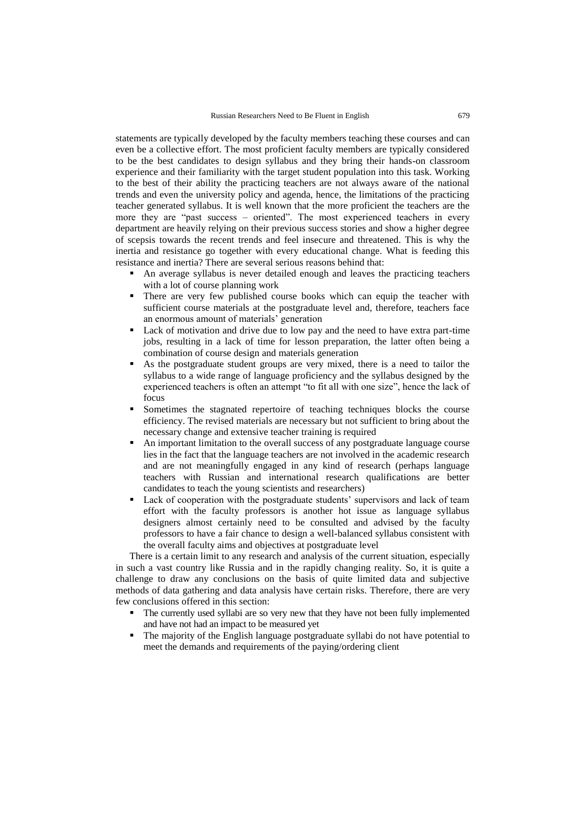statements are typically developed by the faculty members teaching these courses and can even be a collective effort. The most proficient faculty members are typically considered to be the best candidates to design syllabus and they bring their hands-on classroom experience and their familiarity with the target student population into this task. Working to the best of their ability the practicing teachers are not always aware of the national trends and even the university policy and agenda, hence, the limitations of the practicing teacher generated syllabus. It is well known that the more proficient the teachers are the more they are "past success – oriented". The most experienced teachers in every department are heavily relying on their previous success stories and show a higher degree of scepsis towards the recent trends and feel insecure and threatened. This is why the inertia and resistance go together with every educational change. What is feeding this resistance and inertia? There are several serious reasons behind that:

- An average syllabus is never detailed enough and leaves the practicing teachers with a lot of course planning work
- There are very few published course books which can equip the teacher with sufficient course materials at the postgraduate level and, therefore, teachers face an enormous amount of materials' generation
- Lack of motivation and drive due to low pay and the need to have extra part-time jobs, resulting in a lack of time for lesson preparation, the latter often being a combination of course design and materials generation
- As the postgraduate student groups are very mixed, there is a need to tailor the syllabus to a wide range of language proficiency and the syllabus designed by the experienced teachers is often an attempt "to fit all with one size", hence the lack of focus
- Sometimes the stagnated repertoire of teaching techniques blocks the course efficiency. The revised materials are necessary but not sufficient to bring about the necessary change and extensive teacher training is required
- An important limitation to the overall success of any postgraduate language course lies in the fact that the language teachers are not involved in the academic research and are not meaningfully engaged in any kind of research (perhaps language teachers with Russian and international research qualifications are better candidates to teach the young scientists and researchers)
- Lack of cooperation with the postgraduate students' supervisors and lack of team effort with the faculty professors is another hot issue as language syllabus designers almost certainly need to be consulted and advised by the faculty professors to have a fair chance to design a well-balanced syllabus consistent with the overall faculty aims and objectives at postgraduate level

There is a certain limit to any research and analysis of the current situation, especially in such a vast country like Russia and in the rapidly changing reality. So, it is quite a challenge to draw any conclusions on the basis of quite limited data and subjective methods of data gathering and data analysis have certain risks. Therefore, there are very few conclusions offered in this section:

- The currently used syllabi are so very new that they have not been fully implemented and have not had an impact to be measured yet
- The majority of the English language postgraduate syllabi do not have potential to meet the demands and requirements of the paying/ordering client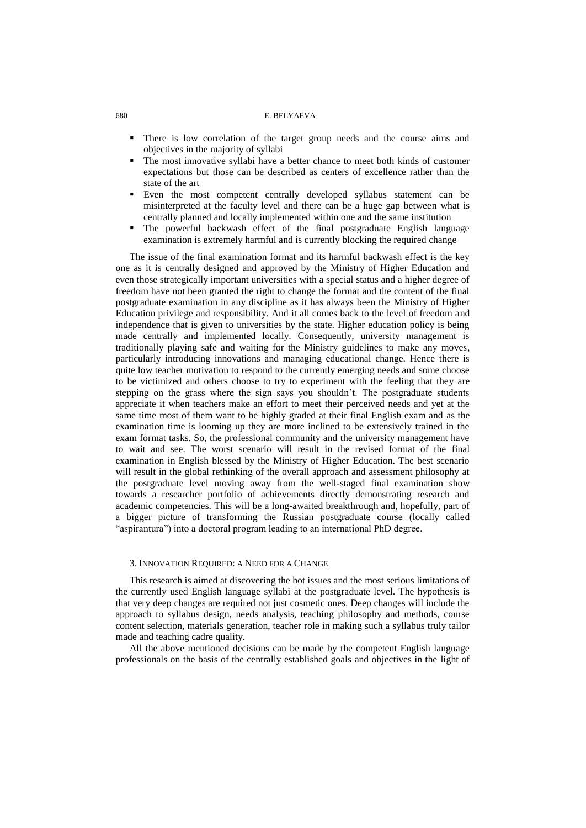- There is low correlation of the target group needs and the course aims and objectives in the majority of syllabi
- The most innovative syllabi have a better chance to meet both kinds of customer expectations but those can be described as centers of excellence rather than the state of the art
- Even the most competent centrally developed syllabus statement can be misinterpreted at the faculty level and there can be a huge gap between what is centrally planned and locally implemented within one and the same institution
- The powerful backwash effect of the final postgraduate English language examination is extremely harmful and is currently blocking the required change

The issue of the final examination format and its harmful backwash effect is the key one as it is centrally designed and approved by the Ministry of Higher Education and even those strategically important universities with a special status and a higher degree of freedom have not been granted the right to change the format and the content of the final postgraduate examination in any discipline as it has always been the Ministry of Higher Education privilege and responsibility. And it all comes back to the level of freedom and independence that is given to universities by the state. Higher education policy is being made centrally and implemented locally. Consequently, university management is traditionally playing safe and waiting for the Ministry guidelines to make any moves, particularly introducing innovations and managing educational change. Hence there is quite low teacher motivation to respond to the currently emerging needs and some choose to be victimized and others choose to try to experiment with the feeling that they are stepping on the grass where the sign says you shouldn't. The postgraduate students appreciate it when teachers make an effort to meet their perceived needs and yet at the same time most of them want to be highly graded at their final English exam and as the examination time is looming up they are more inclined to be extensively trained in the exam format tasks. So, the professional community and the university management have to wait and see. The worst scenario will result in the revised format of the final examination in English blessed by the Ministry of Higher Education. The best scenario will result in the global rethinking of the overall approach and assessment philosophy at the postgraduate level moving away from the well-staged final examination show towards a researcher portfolio of achievements directly demonstrating research and academic competencies. This will be a long-awaited breakthrough and, hopefully, part of a bigger picture of transforming the Russian postgraduate course (locally called "aspirantura") into a doctoral program leading to an international PhD degree.

#### 3. INNOVATION REQUIRED: A NEED FOR A CHANGE

This research is aimed at discovering the hot issues and the most serious limitations of the currently used English language syllabi at the postgraduate level. The hypothesis is that very deep changes are required not just cosmetic ones. Deep changes will include the approach to syllabus design, needs analysis, teaching philosophy and methods, course content selection, materials generation, teacher role in making such a syllabus truly tailor made and teaching cadre quality.

All the above mentioned decisions can be made by the competent English language professionals on the basis of the centrally established goals and objectives in the light of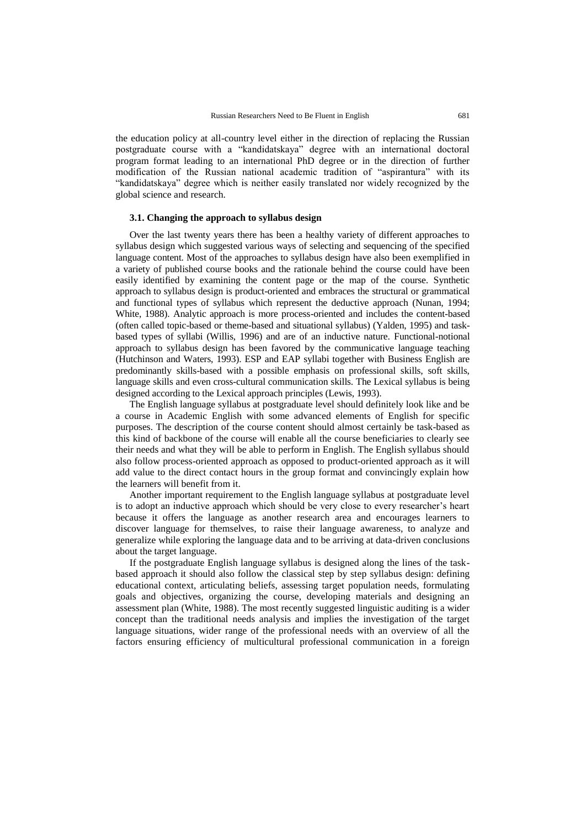the education policy at all-country level either in the direction of replacing the Russian postgraduate course with a "kandidatskaya" degree with an international doctoral program format leading to an international PhD degree or in the direction of further modification of the Russian national academic tradition of "aspirantura" with its "kandidatskaya" degree which is neither easily translated nor widely recognized by the global science and research.

#### **3.1. Changing the approach to syllabus design**

Over the last twenty years there has been a healthy variety of different approaches to syllabus design which suggested various ways of selecting and sequencing of the specified language content. Most of the approaches to syllabus design have also been exemplified in a variety of published course books and the rationale behind the course could have been easily identified by examining the content page or the map of the course. Synthetic approach to syllabus design is product-oriented and embraces the structural or grammatical and functional types of syllabus which represent the deductive approach (Nunan, 1994; White, 1988). Analytic approach is more process-oriented and includes the content-based (often called topic-based or theme-based and situational syllabus) (Yalden, 1995) and taskbased types of syllabi (Willis, 1996) and are of an inductive nature. Functional-notional approach to syllabus design has been favored by the communicative language teaching (Hutchinson and Waters, 1993). ESP and EAP syllabi together with Business English are predominantly skills-based with a possible emphasis on professional skills, soft skills, language skills and even cross-cultural communication skills. The Lexical syllabus is being designed according to the Lexical approach principles (Lewis, 1993).

The English language syllabus at postgraduate level should definitely look like and be a course in Academic English with some advanced elements of English for specific purposes. The description of the course content should almost certainly be task-based as this kind of backbone of the course will enable all the course beneficiaries to clearly see their needs and what they will be able to perform in English. The English syllabus should also follow process-oriented approach as opposed to product-oriented approach as it will add value to the direct contact hours in the group format and convincingly explain how the learners will benefit from it.

Another important requirement to the English language syllabus at postgraduate level is to adopt an inductive approach which should be very close to every researcher's heart because it offers the language as another research area and encourages learners to discover language for themselves, to raise their language awareness, to analyze and generalize while exploring the language data and to be arriving at data-driven conclusions about the target language.

If the postgraduate English language syllabus is designed along the lines of the taskbased approach it should also follow the classical step by step syllabus design: defining educational context, articulating beliefs, assessing target population needs, formulating goals and objectives, organizing the course, developing materials and designing an assessment plan (White, 1988). The most recently suggested linguistic auditing is a wider concept than the traditional needs analysis and implies the investigation of the target language situations, wider range of the professional needs with an overview of all the factors ensuring efficiency of multicultural professional communication in a foreign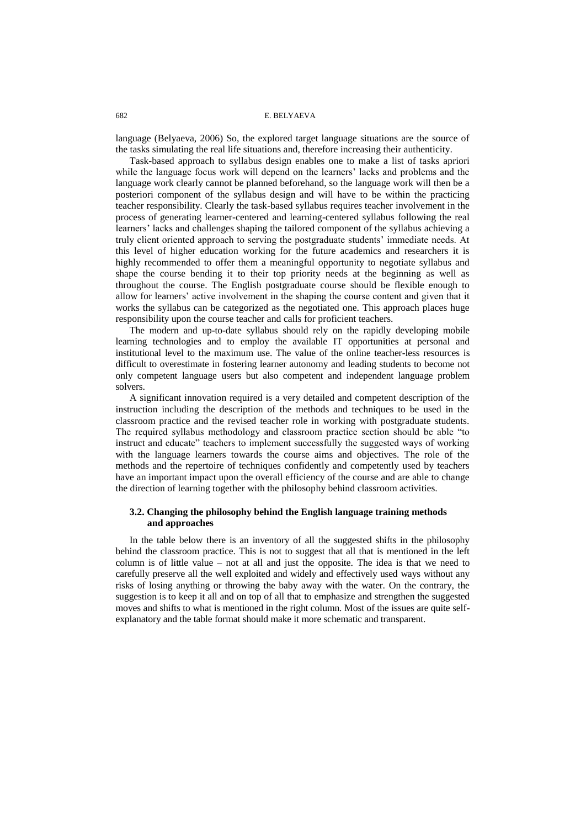language (Belyaeva, 2006) So, the explored target language situations are the source of the tasks simulating the real life situations and, therefore increasing their authenticity.

Task-based approach to syllabus design enables one to make a list of tasks apriori while the language focus work will depend on the learners' lacks and problems and the language work clearly cannot be planned beforehand, so the language work will then be a posteriori component of the syllabus design and will have to be within the practicing teacher responsibility. Clearly the task-based syllabus requires teacher involvement in the process of generating learner-centered and learning-centered syllabus following the real learners' lacks and challenges shaping the tailored component of the syllabus achieving a truly client oriented approach to serving the postgraduate students' immediate needs. At this level of higher education working for the future academics and researchers it is highly recommended to offer them a meaningful opportunity to negotiate syllabus and shape the course bending it to their top priority needs at the beginning as well as throughout the course. The English postgraduate course should be flexible enough to allow for learners' active involvement in the shaping the course content and given that it works the syllabus can be categorized as the negotiated one. This approach places huge responsibility upon the course teacher and calls for proficient teachers.

The modern and up-to-date syllabus should rely on the rapidly developing mobile learning technologies and to employ the available IT opportunities at personal and institutional level to the maximum use. The value of the online teacher-less resources is difficult to overestimate in fostering learner autonomy and leading students to become not only competent language users but also competent and independent language problem solvers.

A significant innovation required is a very detailed and competent description of the instruction including the description of the methods and techniques to be used in the classroom practice and the revised teacher role in working with postgraduate students. The required syllabus methodology and classroom practice section should be able "to instruct and educate" teachers to implement successfully the suggested ways of working with the language learners towards the course aims and objectives. The role of the methods and the repertoire of techniques confidently and competently used by teachers have an important impact upon the overall efficiency of the course and are able to change the direction of learning together with the philosophy behind classroom activities.

## **3.2. Changing the philosophy behind the English language training methods and approaches**

In the table below there is an inventory of all the suggested shifts in the philosophy behind the classroom practice. This is not to suggest that all that is mentioned in the left column is of little value – not at all and just the opposite. The idea is that we need to carefully preserve all the well exploited and widely and effectively used ways without any risks of losing anything or throwing the baby away with the water. On the contrary, the suggestion is to keep it all and on top of all that to emphasize and strengthen the suggested moves and shifts to what is mentioned in the right column. Most of the issues are quite selfexplanatory and the table format should make it more schematic and transparent.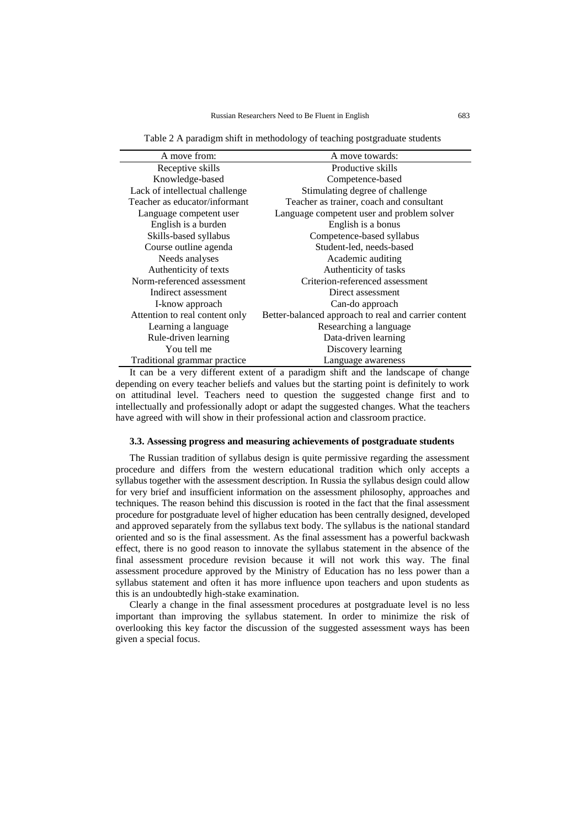Table 2 A paradigm shift in methodology of teaching postgraduate students

| A move from:                   | A move towards:                                      |
|--------------------------------|------------------------------------------------------|
| Receptive skills               | Productive skills                                    |
| Knowledge-based                | Competence-based                                     |
| Lack of intellectual challenge | Stimulating degree of challenge                      |
| Teacher as educator/informant  | Teacher as trainer, coach and consultant             |
| Language competent user        | Language competent user and problem solver           |
| English is a burden            | English is a bonus                                   |
| Skills-based syllabus          | Competence-based syllabus                            |
| Course outline agenda          | Student-led, needs-based                             |
| Needs analyses                 | Academic auditing                                    |
| Authenticity of texts          | Authenticity of tasks                                |
| Norm-referenced assessment     | Criterion-referenced assessment                      |
| Indirect assessment            | Direct assessment                                    |
| I-know approach                | Can-do approach                                      |
| Attention to real content only | Better-balanced approach to real and carrier content |
| Learning a language            | Researching a language                               |
| Rule-driven learning           | Data-driven learning                                 |
| You tell me                    | Discovery learning                                   |
| Traditional grammar practice   | Language awareness                                   |

It can be a very different extent of a paradigm shift and the landscape of change depending on every teacher beliefs and values but the starting point is definitely to work on attitudinal level. Teachers need to question the suggested change first and to intellectually and professionally adopt or adapt the suggested changes. What the teachers have agreed with will show in their professional action and classroom practice.

#### **3.3. Assessing progress and measuring achievements of postgraduate students**

The Russian tradition of syllabus design is quite permissive regarding the assessment procedure and differs from the western educational tradition which only accepts a syllabus together with the assessment description. In Russia the syllabus design could allow for very brief and insufficient information on the assessment philosophy, approaches and techniques. The reason behind this discussion is rooted in the fact that the final assessment procedure for postgraduate level of higher education has been centrally designed, developed and approved separately from the syllabus text body. The syllabus is the national standard oriented and so is the final assessment. As the final assessment has a powerful backwash effect, there is no good reason to innovate the syllabus statement in the absence of the final assessment procedure revision because it will not work this way. The final assessment procedure approved by the Ministry of Education has no less power than a syllabus statement and often it has more influence upon teachers and upon students as this is an undoubtedly high-stake examination.

Clearly a change in the final assessment procedures at postgraduate level is no less important than improving the syllabus statement. In order to minimize the risk of overlooking this key factor the discussion of the suggested assessment ways has been given a special focus.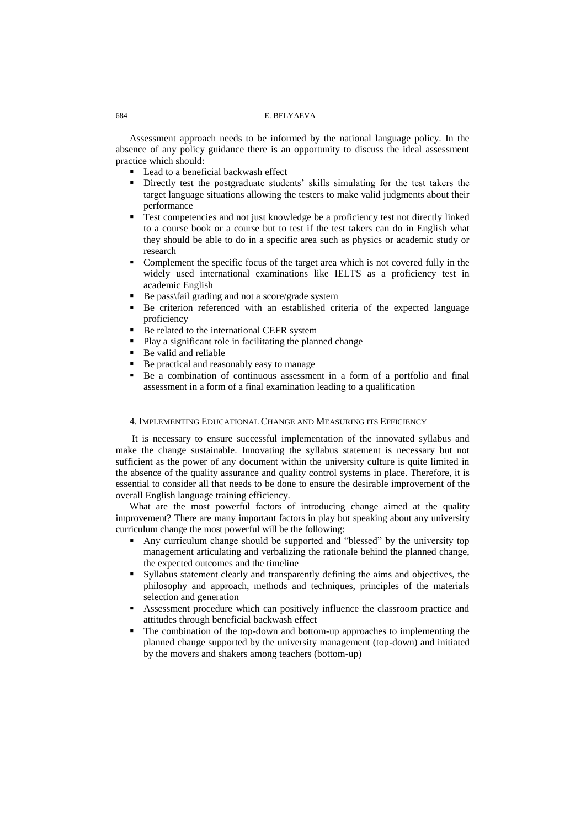Assessment approach needs to be informed by the national language policy. In the absence of any policy guidance there is an opportunity to discuss the ideal assessment practice which should:

- **Lead to a beneficial backwash effect**
- Directly test the postgraduate students' skills simulating for the test takers the target language situations allowing the testers to make valid judgments about their performance
- Test competencies and not just knowledge be a proficiency test not directly linked to a course book or a course but to test if the test takers can do in English what they should be able to do in a specific area such as physics or academic study or research
- Complement the specific focus of the target area which is not covered fully in the widely used international examinations like IELTS as a proficiency test in academic English
- Be pass\fail grading and not a score/grade system
- Be criterion referenced with an established criteria of the expected language proficiency
- Be related to the international CEFR system
- Play a significant role in facilitating the planned change
- Be valid and reliable
- Be practical and reasonably easy to manage
- Be a combination of continuous assessment in a form of a portfolio and final assessment in a form of a final examination leading to a qualification

### 4. IMPLEMENTING EDUCATIONAL CHANGE AND MEASURING ITS EFFICIENCY

It is necessary to ensure successful implementation of the innovated syllabus and make the change sustainable. Innovating the syllabus statement is necessary but not sufficient as the power of any document within the university culture is quite limited in the absence of the quality assurance and quality control systems in place. Therefore, it is essential to consider all that needs to be done to ensure the desirable improvement of the overall English language training efficiency.

What are the most powerful factors of introducing change aimed at the quality improvement? There are many important factors in play but speaking about any university curriculum change the most powerful will be the following:

- Any curriculum change should be supported and "blessed" by the university top management articulating and verbalizing the rationale behind the planned change, the expected outcomes and the timeline
- Syllabus statement clearly and transparently defining the aims and objectives, the philosophy and approach, methods and techniques, principles of the materials selection and generation
- Assessment procedure which can positively influence the classroom practice and attitudes through beneficial backwash effect
- The combination of the top-down and bottom-up approaches to implementing the planned change supported by the university management (top-down) and initiated by the movers and shakers among teachers (bottom-up)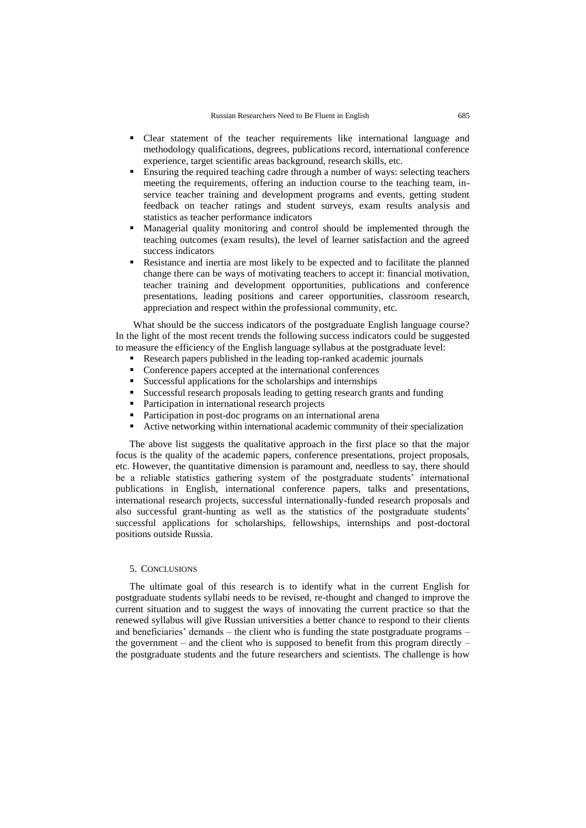- Clear statement of the teacher requirements like international language and methodology qualifications, degrees, publications record, international conference experience, target scientific areas background, research skills, etc.
- Ensuring the required teaching cadre through a number of ways: selecting teachers meeting the requirements, offering an induction course to the teaching team, inservice teacher training and development programs and events, getting student feedback on teacher ratings and student surveys, exam results analysis and statistics as teacher performance indicators
- Managerial quality monitoring and control should be implemented through the teaching outcomes (exam results), the level of learner satisfaction and the agreed success indicators
- Resistance and inertia are most likely to be expected and to facilitate the planned change there can be ways of motivating teachers to accept it: financial motivation, teacher training and development opportunities, publications and conference presentations, leading positions and career opportunities, classroom research, appreciation and respect within the professional community, etc.

What should be the success indicators of the postgraduate English language course? In the light of the most recent trends the following success indicators could be suggested to measure the efficiency of the English language syllabus at the postgraduate level:

- Research papers published in the leading top-ranked academic journals
- Conference papers accepted at the international conferences
- Successful applications for the scholarships and internships
- Successful research proposals leading to getting research grants and funding
- Participation in international research projects
- Participation in post-doc programs on an international arena
- Active networking within international academic community of their specialization

The above list suggests the qualitative approach in the first place so that the major focus is the quality of the academic papers, conference presentations, project proposals, etc. However, the quantitative dimension is paramount and, needless to say, there should be a reliable statistics gathering system of the postgraduate students' international publications in English, international conference papers, talks and presentations, international research projects, successful internationally-funded research proposals and also successful grant-hunting as well as the statistics of the postgraduate students' successful applications for scholarships, fellowships, internships and post-doctoral positions outside Russia.

## 5. CONCLUSIONS

The ultimate goal of this research is to identify what in the current English for postgraduate students syllabi needs to be revised, re-thought and changed to improve the current situation and to suggest the ways of innovating the current practice so that the renewed syllabus will give Russian universities a better chance to respond to their clients and beneficiaries' demands – the client who is funding the state postgraduate programs – the government – and the client who is supposed to benefit from this program directly – the postgraduate students and the future researchers and scientists. The challenge is how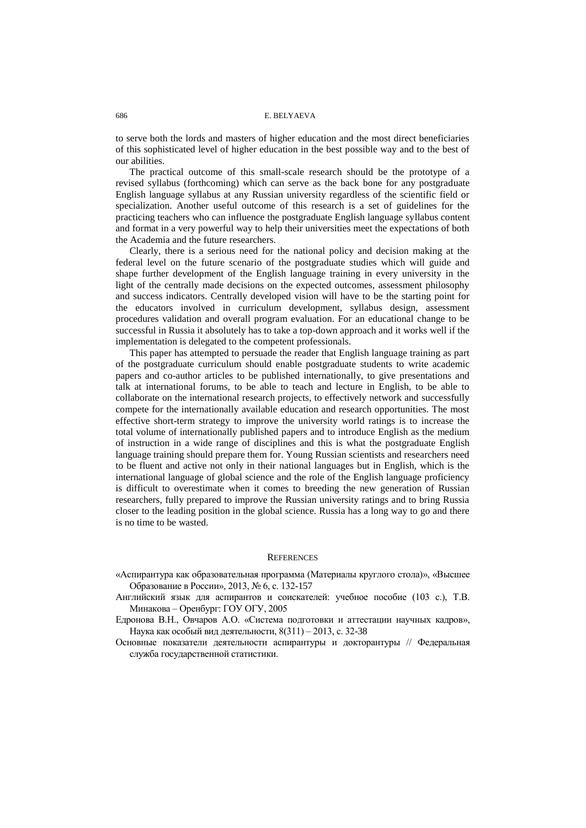to serve both the lords and masters of higher education and the most direct beneficiaries of this sophisticated level of higher education in the best possible way and to the best of our abilities.

The practical outcome of this small-scale research should be the prototype of a revised syllabus (forthcoming) which can serve as the back bone for any postgraduate English language syllabus at any Russian university regardless of the scientific field or specialization. Another useful outcome of this research is a set of guidelines for the practicing teachers who can influence the postgraduate English language syllabus content and format in a very powerful way to help their universities meet the expectations of both the Academia and the future researchers.

Clearly, there is a serious need for the national policy and decision making at the federal level on the future scenario of the postgraduate studies which will guide and shape further development of the English language training in every university in the light of the centrally made decisions on the expected outcomes, assessment philosophy and success indicators. Centrally developed vision will have to be the starting point for the educators involved in curriculum development, syllabus design, assessment procedures validation and overall program evaluation. For an educational change to be successful in Russia it absolutely has to take a top-down approach and it works well if the implementation is delegated to the competent professionals.

This paper has attempted to persuade the reader that English language training as part of the postgraduate curriculum should enable postgraduate students to write academic papers and co-author articles to be published internationally, to give presentations and talk at international forums, to be able to teach and lecture in English, to be able to collaborate on the international research projects, to effectively network and successfully compete for the internationally available education and research opportunities. The most effective short-term strategy to improve the university world ratings is to increase the total volume of internationally published papers and to introduce English as the medium of instruction in a wide range of disciplines and this is what the postgraduate English language training should prepare them for. Young Russian scientists and researchers need to be fluent and active not only in their national languages but in English, which is the international language of global science and the role of the English language proficiency is difficult to overestimate when it comes to breeding the new generation of Russian researchers, fully prepared to improve the Russian university ratings and to bring Russia closer to the leading position in the global science. Russia has a long way to go and there is no time to be wasted.

#### **REFERENCES**

- «Аспирантура как образовательная программа (Материалы круглого стола)», «Высшее Образование в России», 2013, № 6, с. 132-157
- Английский язык для аспирантов и соискателей: учебное пособие (103 с.), Т.В. Минакова – Оренбург: ГОУ ОГУ, 2005
- Едронова В.Н., Овчаров А.О. «Система подготовки и аттестации научных кадров», Наука как особый вид деятельности, 8(311) – 2013, с. 32-38
- Основные показатели деятельности аспирантуры и докторантуры // Федеральная служба государственной статистики.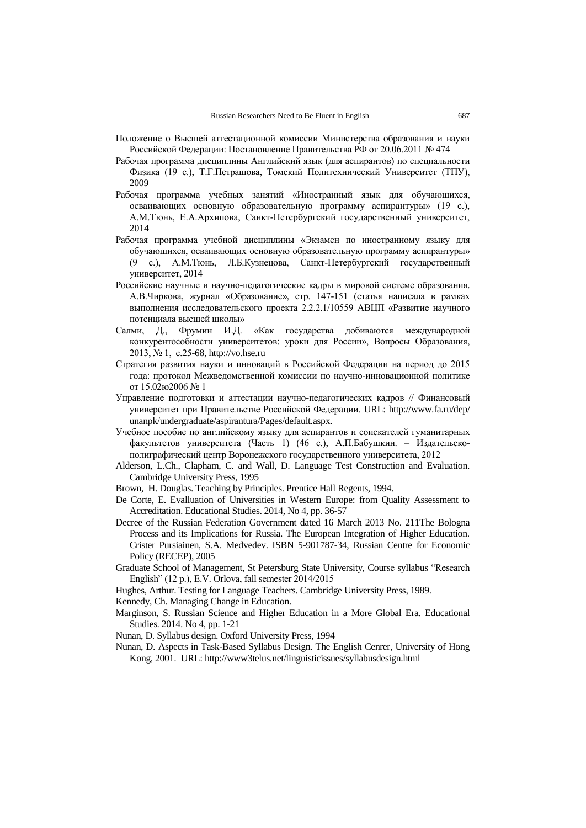- Положение о Высшей аттестационной комиссии Министерства образования и науки Российской Федерации: Постановление Правительства РФ от 20.06.2011 № 474
- Рабочая программа дисциплины Английский язык (для аспирантов) по специальности Физика (19 с.), Т.Г.Петрашова, Томский Политехнический Университет (ТПУ), 2009
- Рабочая программа учебных занятий «Иностранный язык для обучающихся, осваивающих основную образовательную программу аспирантуры» (19 с.), А.М.Тюнь, Е.А.Архипова, Санкт-Петербургский государственный университет, 2014
- Рабочая программа учебной дисциплины «Экзамен по иностранному языку для обучающихся, осваивающих основную образовательную программу аспирантуры» (9 с.), А.М.Тюнь, Л.Б.Кузнецова, Санкт-Петербургский государственный университет, 2014
- Российские научные и научно-педагогические кадры в мировой системе образования. А.В.Чиркова, журнал «Образование», стр. 147-151 (статья написала в рамках выполнения исследовательского проекта 2.2.2.1/10559 АВЦП «Развитие научного потенциала высшей школы»
- Салми, Д., Фрумин И.Д. «Как государства добиваются международной конкурентособности университетов: уроки для России», Вопросы Образования, 2013, № 1, с.25-68[, http://vo.hse.ru](http://vo.hse.ru/)
- Стратегия развития науки и инноваций в Российской Федерации на период до 2015 года: протокол Межведомственной комиссии по научно-инновационной политике от 15.02ю2006 № 1
- Управление подготовки и аттестации научно-педагогических кадров // Финансовый университет при Правительстве Российской Федерации. URL: [http://www.fa.ru/dep/](http://www.fa.ru/dep/unanpk/undergraduate/aspirantura/Pages/default.aspx) [unanpk/undergraduate/aspirantura/Pages/default.aspx.](http://www.fa.ru/dep/unanpk/undergraduate/aspirantura/Pages/default.aspx)
- Учебное пособие по английскому языку для аспирантов и соискателей гуманитарных факультетов университета (Часть 1) (46 с.), А.П.Бабушкин. – Издательскополиграфический центр Воронежского государственного университета, 2012
- Alderson, L.Ch., Clapham, C. and Wall, D. Language Test Construction and Evaluation. Cambridge University Press, 1995
- Brown, H. Douglas. Teaching by Principles. Prentice Hall Regents, 1994.
- De Corte, E. Evalluation of Universities in Western Europe: from Quality Assessment to Accreditation. Educational Studies. 2014, No 4, pp. 36-57
- Decree of the Russian Federation Government dated 16 March 2013 No. 211The Bologna Process and its Implications for Russia. The European Integration of Higher Education. Crister Pursiainen, S.A. Medvedev. ISBN 5-901787-34, Russian Centre for Economic Policy (RECEP), 2005
- Graduate School of Management, St Petersburg State University, Course syllabus "Research English" (12 p.), E.V. Orlova, fall semester  $2014/2015$
- Hughes, Arthur. Testing for Language Teachers. Cambridge University Press, 1989.
- Kennedy, Ch. Managing Change in Education.
- Marginson, S. Russian Science and Higher Education in a More Global Era. Educational Studies. 2014. No 4, pp. 1-21
- Nunan, D. Syllabus design. Oxford University Press, 1994
- Nunan, D. Aspects in Task-Based Syllabus Design. The English Cenrer, University of Hong Kong, 2001. URL[: http://www3telus.net/linguisticissues/syllabusdesign.html](http://www3telus.net/linguisticissues/syllabusdesign.html)